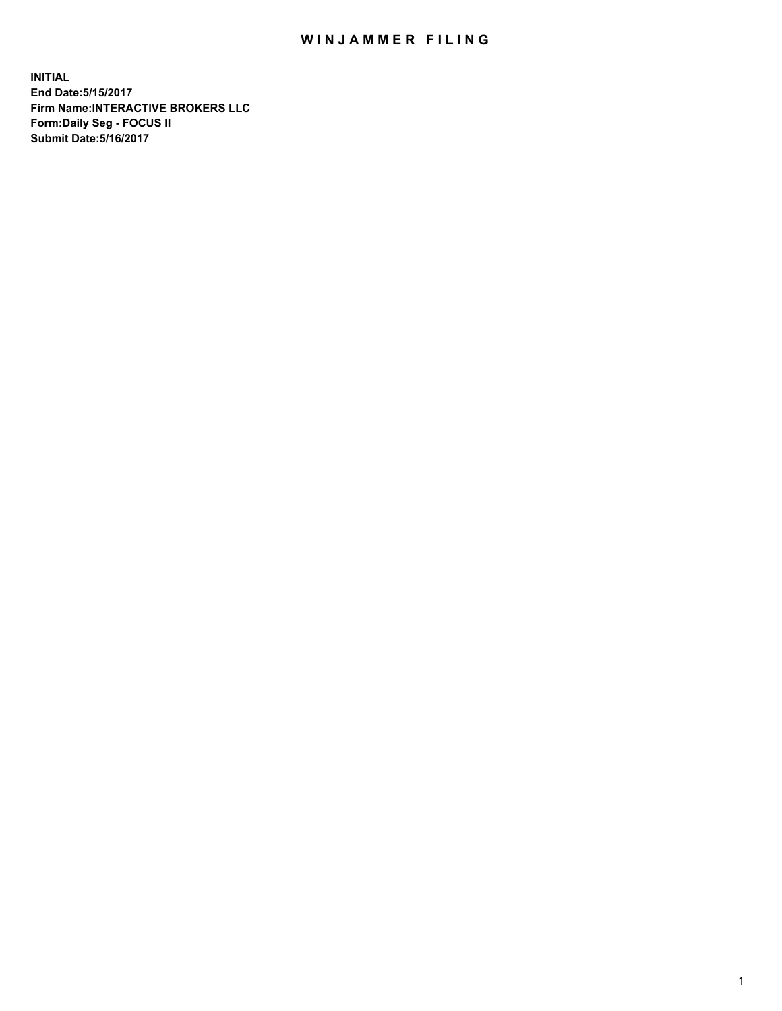## WIN JAMMER FILING

**INITIAL End Date:5/15/2017 Firm Name:INTERACTIVE BROKERS LLC Form:Daily Seg - FOCUS II Submit Date:5/16/2017**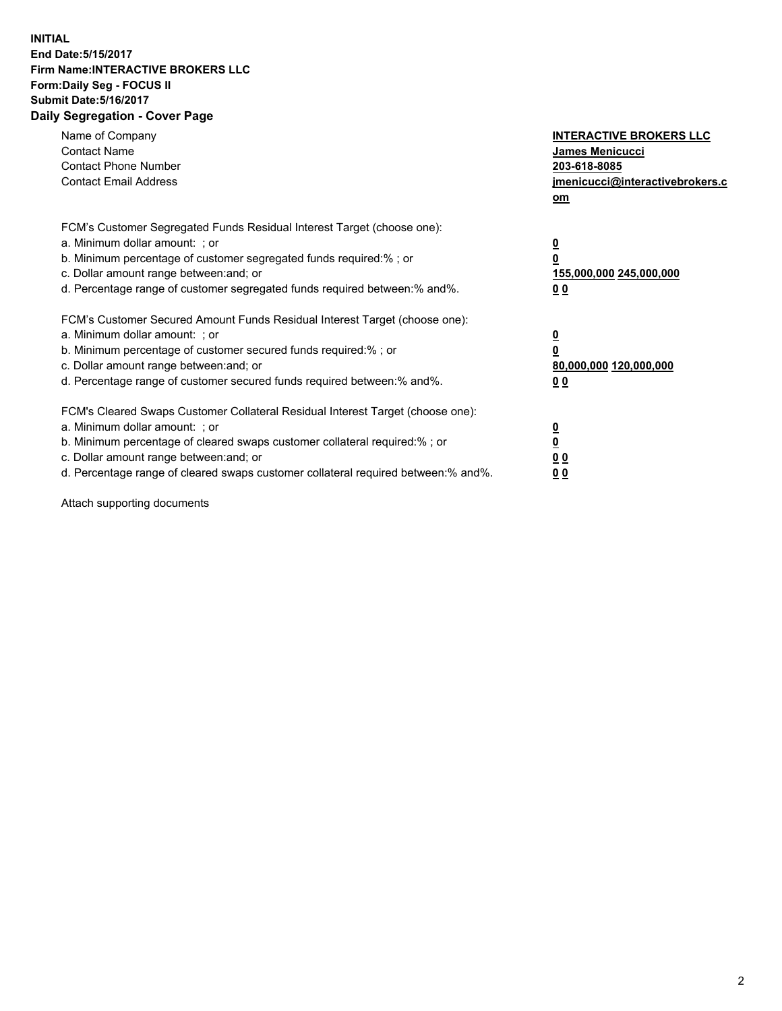## **INITIAL End Date:5/15/2017 Firm Name:INTERACTIVE BROKERS LLC Form:Daily Seg - FOCUS II Submit Date:5/16/2017 Daily Segregation - Cover Page**

| Name of Company<br><b>Contact Name</b><br><b>Contact Phone Number</b><br><b>Contact Email Address</b>                                                                                                                                                                                                                          | <b>INTERACTIVE BROKERS LLC</b><br><b>James Menicucci</b><br>203-618-8085<br>jmenicucci@interactivebrokers.c<br>om |
|--------------------------------------------------------------------------------------------------------------------------------------------------------------------------------------------------------------------------------------------------------------------------------------------------------------------------------|-------------------------------------------------------------------------------------------------------------------|
| FCM's Customer Segregated Funds Residual Interest Target (choose one):<br>a. Minimum dollar amount: ; or<br>b. Minimum percentage of customer segregated funds required:% ; or<br>c. Dollar amount range between: and; or<br>d. Percentage range of customer segregated funds required between: % and %.                       | $\overline{\mathbf{0}}$<br>0<br>155,000,000 245,000,000<br>00                                                     |
| FCM's Customer Secured Amount Funds Residual Interest Target (choose one):<br>a. Minimum dollar amount: ; or<br>b. Minimum percentage of customer secured funds required:%; or<br>c. Dollar amount range between: and; or<br>d. Percentage range of customer secured funds required between: % and %.                          | $\overline{\mathbf{0}}$<br>0<br>80,000,000 120,000,000<br>00                                                      |
| FCM's Cleared Swaps Customer Collateral Residual Interest Target (choose one):<br>a. Minimum dollar amount: ; or<br>b. Minimum percentage of cleared swaps customer collateral required:% ; or<br>c. Dollar amount range between: and; or<br>d. Percentage range of cleared swaps customer collateral required between:% and%. | $\overline{\mathbf{0}}$<br>$\overline{\mathbf{0}}$<br>00<br>0 <sub>0</sub>                                        |

Attach supporting documents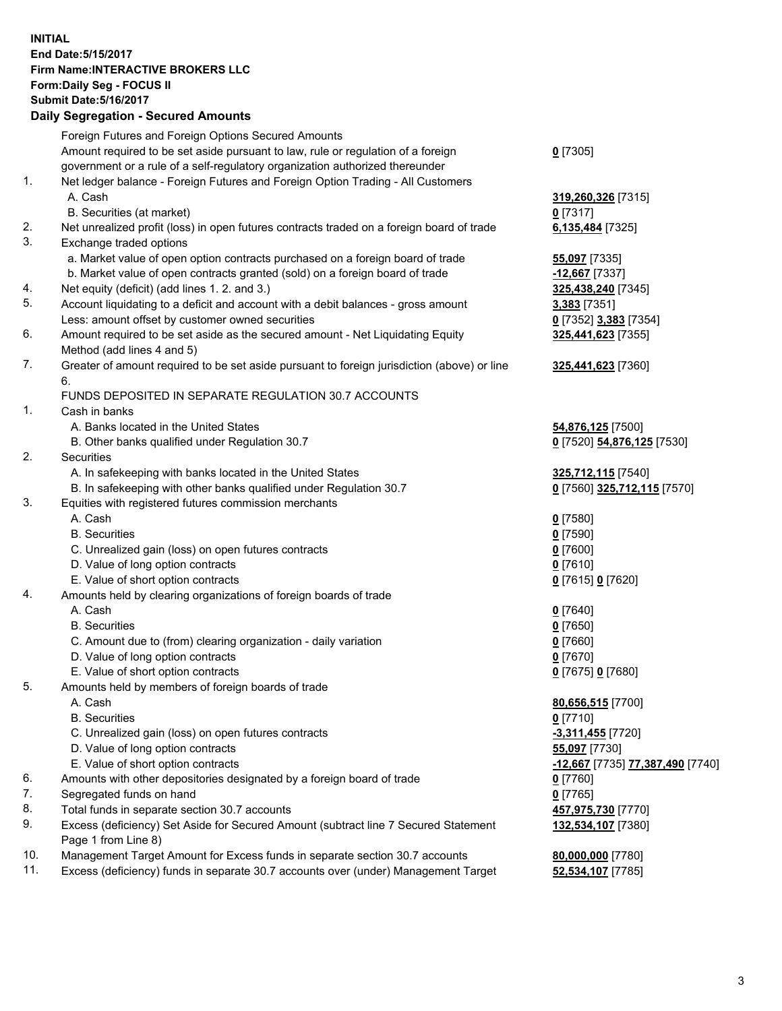## **INITIAL End Date:5/15/2017 Firm Name:INTERACTIVE BROKERS LLC Form:Daily Seg - FOCUS II Submit Date:5/16/2017 Daily Segregation - Secured Amounts**

|     | Pany Obgrogation Obbarba / 11110ani                                                                        |                                  |
|-----|------------------------------------------------------------------------------------------------------------|----------------------------------|
|     | Foreign Futures and Foreign Options Secured Amounts                                                        |                                  |
|     | Amount required to be set aside pursuant to law, rule or regulation of a foreign                           | $0$ [7305]                       |
|     | government or a rule of a self-regulatory organization authorized thereunder                               |                                  |
| 1.  | Net ledger balance - Foreign Futures and Foreign Option Trading - All Customers                            |                                  |
|     | A. Cash                                                                                                    | 319,260,326 [7315]               |
|     | B. Securities (at market)                                                                                  | $0$ [7317]                       |
| 2.  | Net unrealized profit (loss) in open futures contracts traded on a foreign board of trade                  | 6,135,484 [7325]                 |
| 3.  | Exchange traded options                                                                                    |                                  |
|     | a. Market value of open option contracts purchased on a foreign board of trade                             | <b>55,097</b> [7335]             |
|     | b. Market value of open contracts granted (sold) on a foreign board of trade                               | $-12,667$ [7337]                 |
| 4.  | Net equity (deficit) (add lines 1.2. and 3.)                                                               | 325,438,240 [7345]               |
| 5.  | Account liquidating to a deficit and account with a debit balances - gross amount                          | 3,383 [7351]                     |
|     | Less: amount offset by customer owned securities                                                           | 0 [7352] 3,383 [7354]            |
| 6.  | Amount required to be set aside as the secured amount - Net Liquidating Equity                             | 325,441,623 [7355]               |
|     | Method (add lines 4 and 5)                                                                                 |                                  |
| 7.  | Greater of amount required to be set aside pursuant to foreign jurisdiction (above) or line                | 325,441,623 [7360]               |
|     | 6.                                                                                                         |                                  |
|     | FUNDS DEPOSITED IN SEPARATE REGULATION 30.7 ACCOUNTS                                                       |                                  |
| 1.  | Cash in banks                                                                                              |                                  |
|     | A. Banks located in the United States                                                                      | 54,876,125 [7500]                |
|     | B. Other banks qualified under Regulation 30.7                                                             | 0 [7520] 54,876,125 [7530]       |
| 2.  | Securities                                                                                                 |                                  |
|     | A. In safekeeping with banks located in the United States                                                  | 325,712,115 [7540]               |
|     | B. In safekeeping with other banks qualified under Regulation 30.7                                         | 0 [7560] 325,712,115 [7570]      |
| 3.  | Equities with registered futures commission merchants                                                      |                                  |
|     | A. Cash                                                                                                    | $0$ [7580]                       |
|     | <b>B.</b> Securities                                                                                       | $0$ [7590]                       |
|     | C. Unrealized gain (loss) on open futures contracts                                                        | $0$ [7600]                       |
|     | D. Value of long option contracts                                                                          | $0$ [7610]                       |
|     | E. Value of short option contracts                                                                         | 0 [7615] 0 [7620]                |
| 4.  | Amounts held by clearing organizations of foreign boards of trade                                          |                                  |
|     | A. Cash                                                                                                    | $0$ [7640]                       |
|     | <b>B.</b> Securities                                                                                       | $0$ [7650]                       |
|     | C. Amount due to (from) clearing organization - daily variation                                            | $0$ [7660]                       |
|     | D. Value of long option contracts                                                                          | $0$ [7670]                       |
|     | E. Value of short option contracts                                                                         | 0 [7675] 0 [7680]                |
| 5.  | Amounts held by members of foreign boards of trade                                                         |                                  |
|     | A. Cash                                                                                                    | 80,656,515 [7700]                |
|     | <b>B.</b> Securities                                                                                       | $0$ [7710]                       |
|     | C. Unrealized gain (loss) on open futures contracts                                                        | -3,311,455 [7720]                |
|     | D. Value of long option contracts                                                                          | 55,097 [7730]                    |
|     | E. Value of short option contracts                                                                         | -12,667 [7735] 77,387,490 [7740] |
| 6.  | Amounts with other depositories designated by a foreign board of trade                                     | 0 [7760]                         |
| 7.  | Segregated funds on hand                                                                                   | $0$ [7765]                       |
| 8.  | Total funds in separate section 30.7 accounts                                                              | 457,975,730 [7770]               |
| 9.  | Excess (deficiency) Set Aside for Secured Amount (subtract line 7 Secured Statement<br>Page 1 from Line 8) | 132,534,107 [7380]               |
| 10. | Management Target Amount for Excess funds in separate section 30.7 accounts                                | 80,000,000 [7780]                |
| 11. | Excess (deficiency) funds in separate 30.7 accounts over (under) Management Target                         | 52,534,107 [7785]                |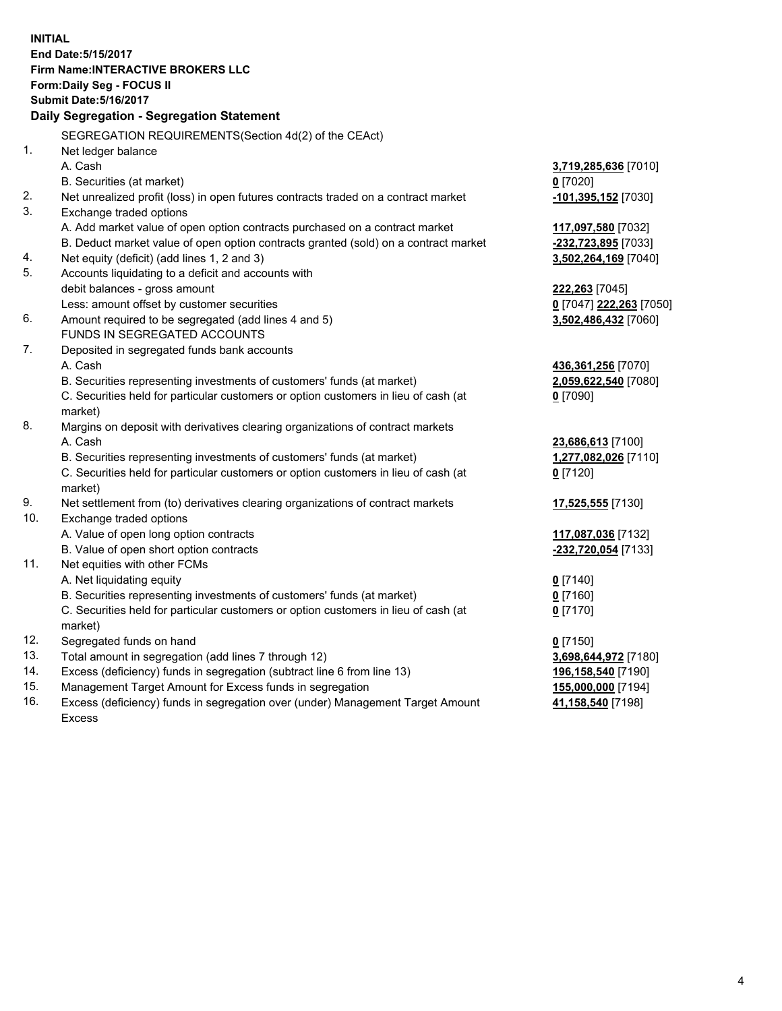**INITIAL End Date:5/15/2017 Firm Name:INTERACTIVE BROKERS LLC Form:Daily Seg - FOCUS II Submit Date:5/16/2017 Daily Segregation - Segregation Statement** SEGREGATION REQUIREMENTS(Section 4d(2) of the CEAct) 1. Net ledger balance A. Cash **3,719,285,636** [7010] B. Securities (at market) **0** [7020] 2. Net unrealized profit (loss) in open futures contracts traded on a contract market **-101,395,152** [7030] 3. Exchange traded options A. Add market value of open option contracts purchased on a contract market **117,097,580** [7032] B. Deduct market value of open option contracts granted (sold) on a contract market **-232,723,895** [7033] 4. Net equity (deficit) (add lines 1, 2 and 3) **3,502,264,169** [7040] 5. Accounts liquidating to a deficit and accounts with debit balances - gross amount **222,263** [7045] Less: amount offset by customer securities **0** [7047] **222,263** [7050] 6. Amount required to be segregated (add lines 4 and 5) **3,502,486,432** [7060] FUNDS IN SEGREGATED ACCOUNTS 7. Deposited in segregated funds bank accounts A. Cash **436,361,256** [7070] B. Securities representing investments of customers' funds (at market) **2,059,622,540** [7080] C. Securities held for particular customers or option customers in lieu of cash (at market) **0** [7090] 8. Margins on deposit with derivatives clearing organizations of contract markets A. Cash **23,686,613** [7100] B. Securities representing investments of customers' funds (at market) **1,277,082,026** [7110] C. Securities held for particular customers or option customers in lieu of cash (at market) **0** [7120] 9. Net settlement from (to) derivatives clearing organizations of contract markets **17,525,555** [7130] 10. Exchange traded options A. Value of open long option contracts **117,087,036** [7132] B. Value of open short option contracts **-232,720,054** [7133] 11. Net equities with other FCMs A. Net liquidating equity **0** [7140] B. Securities representing investments of customers' funds (at market) **0** [7160] C. Securities held for particular customers or option customers in lieu of cash (at market) **0** [7170] 12. Segregated funds on hand **0** [7150] 13. Total amount in segregation (add lines 7 through 12) **3,698,644,972** [7180] 14. Excess (deficiency) funds in segregation (subtract line 6 from line 13) **196,158,540** [7190] 15. Management Target Amount for Excess funds in segregation **155,000,000** [7194]

16. Excess (deficiency) funds in segregation over (under) Management Target Amount Excess

**41,158,540** [7198]